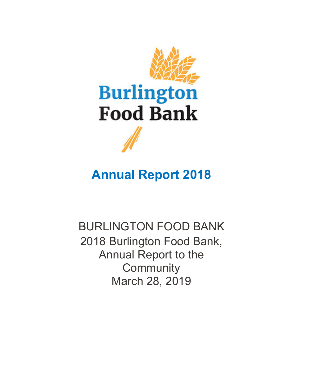

# **Annual Report 2018**

BURLINGTON FOOD BANK 2018 Burlington Food Bank, Annual Report to the **Community** March 28, 2019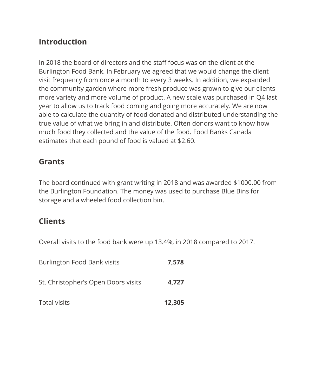## **Introduction**

In 2018 the board of directors and the staff focus was on the client at the Burlington Food Bank. In February we agreed that we would change the client visit frequency from once a month to every 3 weeks. In addition, we expanded the community garden where more fresh produce was grown to give our clients more variety and more volume of product. A new scale was purchased in Q4 last year to allow us to track food coming and going more accurately. We are now able to calculate the quantity of food donated and distributed understanding the true value of what we bring in and distribute. Often donors want to know how much food they collected and the value of the food. Food Banks Canada estimates that each pound of food is valued at \$2.60.

# **Grants**

The board continued with grant writing in 2018 and was awarded \$1000.00 from the Burlington Foundation. The money was used to purchase Blue Bins for storage and a wheeled food collection bin.

## **Clients**

Overall visits to the food bank were up 13.4%, in 2018 compared to 2017.

| <b>Total visits</b>                 | 12,305 |
|-------------------------------------|--------|
| St. Christopher's Open Doors visits | 4.727  |
| Burlington Food Bank visits         | 7,578  |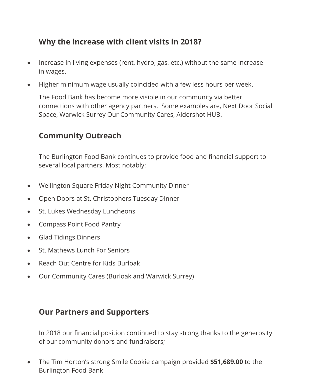# **Why the increase with client visits in 2018?**

- Increase in living expenses (rent, hydro, gas, etc.) without the same increase in wages.
- Higher minimum wage usually coincided with a few less hours per week.

The Food Bank has become more visible in our community via better connections with other agency partners. Some examples are, Next Door Social Space, Warwick Surrey Our Community Cares, Aldershot HUB.

# **Community Outreach**

The Burlington Food Bank continues to provide food and financial support to several local partners. Most notably:

- Wellington Square Friday Night Community Dinner
- Open Doors at St. Christophers Tuesday Dinner
- St. Lukes Wednesday Luncheons
- Compass Point Food Pantry
- Glad Tidings Dinners
- St. Mathews Lunch For Seniors
- Reach Out Centre for Kids Burloak
- Our Community Cares (Burloak and Warwick Surrey)

### **Our Partners and Supporters**

In 2018 our financial position continued to stay strong thanks to the generosity of our community donors and fundraisers;

• The Tim Horton's strong Smile Cookie campaign provided **\$51,689.00** to the Burlington Food Bank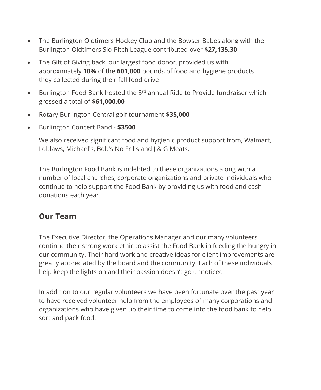- The Burlington Oldtimers Hockey Club and the Bowser Babes along with the Burlington Oldtimers Slo-Pitch League contributed over **\$27,135.30**
- The Gift of Giving back, our largest food donor, provided us with approximately **10%** of the **601,000** pounds of food and hygiene products they collected during their fall food drive
- Burlington Food Bank hosted the  $3^{rd}$  annual Ride to Provide fundraiser which grossed a total of **\$61,000.00**
- Rotary Burlington Central golf tournament **\$35,000**
- Burlington Concert Band **\$3500**

We also received significant food and hygienic product support from, Walmart, Loblaws, Michael's, Bob's No Frills and J & G Meats.

The Burlington Food Bank is indebted to these organizations along with a number of local churches, corporate organizations and private individuals who continue to help support the Food Bank by providing us with food and cash donations each year.

## **Our Team**

The Executive Director, the Operations Manager and our many volunteers continue their strong work ethic to assist the Food Bank in feeding the hungry in our community. Their hard work and creative ideas for client improvements are greatly appreciated by the board and the community. Each of these individuals help keep the lights on and their passion doesn't go unnoticed.

In addition to our regular volunteers we have been fortunate over the past year to have received volunteer help from the employees of many corporations and organizations who have given up their time to come into the food bank to help sort and pack food.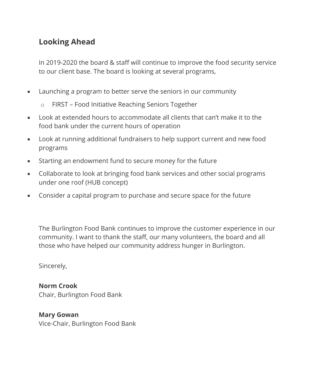# **Looking Ahead**

In 2019-2020 the board & staff will continue to improve the food security service to our client base. The board is looking at several programs,

- Launching a program to better serve the seniors in our community
	- o FIRST Food Initiative Reaching Seniors Together
- Look at extended hours to accommodate all clients that can't make it to the food bank under the current hours of operation
- Look at running additional fundraisers to help support current and new food programs
- Starting an endowment fund to secure money for the future
- Collaborate to look at bringing food bank services and other social programs under one roof (HUB concept)
- Consider a capital program to purchase and secure space for the future

The Burlington Food Bank continues to improve the customer experience in our community. I want to thank the staff, our many volunteers, the board and all those who have helped our community address hunger in Burlington.

Sincerely,

**Norm Crook** Chair, Burlington Food Bank

**Mary Gowan** Vice-Chair, Burlington Food Bank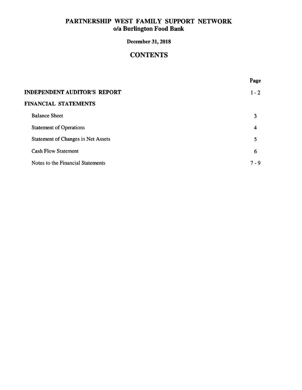## **December 31, 2018**

# **CONTENTS**

|                                           | Page    |
|-------------------------------------------|---------|
| <b>INDEPENDENT AUDITOR'S REPORT</b>       | $1 - 2$ |
| <b>FINANCIAL STATEMENTS</b>               |         |
| <b>Balance Sheet</b>                      | 3       |
| <b>Statement of Operations</b>            | 4       |
| <b>Statement of Changes in Net Assets</b> | 5       |
| <b>Cash Flow Statement</b>                | 6       |
| Notes to the Financial Statements         | $7 - 9$ |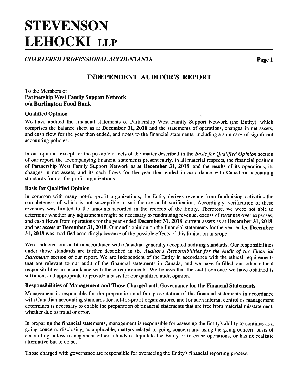# **STEVENSON LEHOCKI LLP**

**CHARTERED PROFESSIONAL ACCOUNTANTS** 

Page 1

# **INDEPENDENT AUDITOR'S REPORT**

#### To the Members of **Partnership West Family Support Network** o/a Burlington Food Bank

### **Qualified Opinion**

We have audited the financial statements of Partnership West Family Support Network (the Entity), which comprises the balance sheet as at December 31, 2018 and the statements of operations, changes in net assets, and cash flow for the year then ended, and notes to the financial statements, including a summary of significant accounting policies.

In our opinion, except for the possible effects of the matter described in the Basis for Qualified Opinion section of our report, the accompanying financial statements present fairly, in all material respects, the financial position of Partnership West Family Support Network as at December 31, 2018, and the results of its operations, its changes in net assets, and its cash flows for the year then ended in accordance with Canadian accounting standards for not-for-profit organizations.

#### **Basis for Qualified Opinion**

In common with many not-for-profit organizations, the Entity derives revenue from fundraising activities the completeness of which is not susceptible to satisfactory audit verification. Accordingly, verification of these revenues was limited to the amounts recorded in the records of the Entity. Therefore, we were not able to determine whether any adjustments might be necessary to fundraising revenue, excess of revenues over expenses, and cash flows from operations for the year ended December 31, 2018, current assets as at December 31, 2018, and net assets at December 31, 2018. Our audit opinion on the financial statements for the year ended December 31, 2018 was modified accordingly because of the possible effects of this limitation in scope.

We conducted our audit in accordance with Canadian generally accepted auditing standards. Our responsibilities under those standards are further described in the Auditor's Responsibilities for the Audit of the Financial Statements section of our report. We are independent of the Entity in accordance with the ethical requirements that are relevant to our audit of the financial statements in Canada, and we have fulfilled our other ethical responsibilities in accordance with these requirements. We believe that the audit evidence we have obtained is sufficient and appropriate to provide a basis for our qualified audit opinion.

#### Responsibilities of Management and Those Charged with Governance for the Financial Statements

Management is responsible for the preparation and fair presentation of the financial statements in accordance with Canadian accounting standards for not-for-profit organizations, and for such internal control as management determines is necessary to enable the preparation of financial statements that are free from material misstatement, whether due to fraud or error.

In preparing the financial statements, management is responsible for assessing the Entity's ability to continue as a going concern, disclosing, as applicable, matters related to going concern and using the going concern basis of accounting unless management either intends to liquidate the Entity or to cease operations, or has no realistic alternative but to do so.

Those charged with governance are responsible for overseeing the Entity's financial reporting process.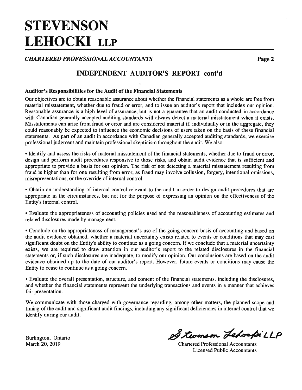# **STEVENSON LEHOCKI LLP**

**CHARTERED PROFESSIONAL ACCOUNTANTS** 

**INDEPENDENT AUDITOR'S REPORT cont'd** 

#### **Auditor's Responsibilities for the Audit of the Financial Statements**

Our objectives are to obtain reasonable assurance about whether the financial statements as a whole are free from material misstatement, whether due to fraud or error, and to issue an auditor's report that includes our opinion. Reasonable assurance is a high level of assurance, but is not a guarantee that an audit conducted in accordance with Canadian generally accepted auditing standards will always detect a material misstatement when it exists. Misstatements can arise from fraud or error and are considered material if, individually or in the aggregate, they could reasonably be expected to influence the economic decisions of users taken on the basis of these financial statements. As part of an audit in accordance with Canadian generally accepted auditing standards, we exercise professional judgment and maintain professional skepticism throughout the audit. We also:

• Identify and assess the risks of material misstatement of the financial statements, whether due to fraud or error, design and perform audit procedures responsive to those risks, and obtain audit evidence that is sufficient and appropriate to provide a basis for our opinion. The risk of not detecting a material misstatement resulting from fraud is higher than for one resulting from error, as fraud may involve collusion, forgery, intentional omissions, misrepresentations, or the override of internal control.

• Obtain an understanding of internal control relevant to the audit in order to design audit procedures that are appropriate in the circumstances, but not for the purpose of expressing an opinion on the effectiveness of the Entity's internal control.

• Evaluate the appropriateness of accounting policies used and the reasonableness of accounting estimates and related disclosures made by management.

• Conclude on the appropriateness of management's use of the going concern basis of accounting and based on the audit evidence obtained, whether a material uncertainty exists related to events or conditions that may cast significant doubt on the Entity's ability to continue as a going concern. If we conclude that a material uncertainty exists, we are required to draw attention in our auditor's report to the related disclosures in the financial statements or, if such disclosures are inadequate, to modify our opinion. Our conclusions are based on the audit evidence obtained up to the date of our auditor's report. However, future events or conditions may cause the Entity to cease to continue as a going concern.

• Evaluate the overall presentation, structure, and content of the financial statements, including the disclosures, and whether the financial statements represent the underlying transactions and events in a manner that achieves fair presentation.

We communicate with those charged with governance regarding, among other matters, the planned scope and timing of the audit and significant audit findings, including any significant deficiencies in internal control that we identify during our audit.

Burlington, Ontario March 20, 2019

Stevenson LebospiLLP

**Chartered Professional Accountants Licensed Public Accountants** 

Page 2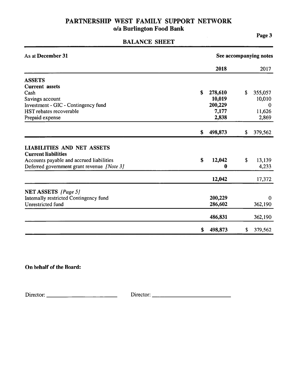# **BALANCE SHEET**

| As at December 31                                                                                                                                         |                          | See accompanying notes |
|-----------------------------------------------------------------------------------------------------------------------------------------------------------|--------------------------|------------------------|
|                                                                                                                                                           | 2018                     | 2017                   |
| <b>ASSETS</b>                                                                                                                                             |                          |                        |
| <b>Current</b> assets                                                                                                                                     |                          |                        |
| Cash                                                                                                                                                      | \$<br>278,610            | \$<br>355,057          |
| Savings account                                                                                                                                           | 10,019                   | 10,010                 |
| Investment - GIC - Contingency fund                                                                                                                       | 200,229                  | $\theta$               |
| HST rebates recoverable                                                                                                                                   | 7,177                    | 11,626                 |
| Prepaid expense                                                                                                                                           | 2,838                    | 2,869                  |
|                                                                                                                                                           | \$<br>498,873            | \$<br>379,562          |
| <b>LIABILITIES AND NET ASSETS</b><br><b>Current liabilities</b><br>Accounts payable and accrued liabilities<br>Deferred government grant revenue [Note 3] | \$<br>12,042<br>$\bf{0}$ | \$<br>13,139<br>4,233  |
|                                                                                                                                                           |                          |                        |
|                                                                                                                                                           | 12,042                   | 17,372                 |
| <b>NET ASSETS</b> [Page 5]                                                                                                                                |                          |                        |
| Internally restricted Contingency fund                                                                                                                    | 200,229                  | 0                      |
| <b>Unrestricted fund</b>                                                                                                                                  | 286,602                  | 362,190                |
|                                                                                                                                                           | 486,831                  | 362,190                |
|                                                                                                                                                           | \$<br>498,873            | \$<br>379,562          |

On behalf of the Board:

Page 3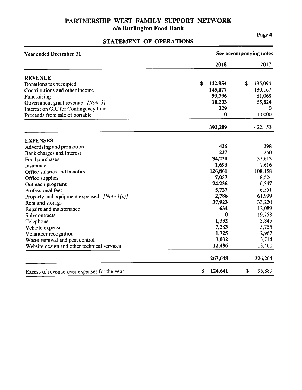# STATEMENT OF OPERATIONS

Page 4

| Year ended December 31                         | See accompanying notes |               |  |  |  |
|------------------------------------------------|------------------------|---------------|--|--|--|
|                                                | 2018                   | 2017          |  |  |  |
| <b>REVENUE</b>                                 |                        |               |  |  |  |
| Donations tax receipted                        | \$<br>142,954          | \$<br>135,094 |  |  |  |
| Contributions and other income                 | 145,077                | 130,167       |  |  |  |
| Fundraising                                    | 93,796                 | 81,068        |  |  |  |
| Government grant revenue [Note 3]              | 10,233                 | 65,824        |  |  |  |
| Interest on GIC for Contingency fund           | 229                    | $\bf{0}$      |  |  |  |
| Proceeds from sale of portable                 | 0                      | 10,000        |  |  |  |
|                                                | 392,289                | 422,153       |  |  |  |
| <b>EXPENSES</b>                                |                        |               |  |  |  |
| Advertising and promotion                      | 426                    | 398           |  |  |  |
| Bank charges and interest                      | 227                    | 250           |  |  |  |
| Food purchases                                 | 34,220                 | 37,613        |  |  |  |
| Insurance                                      | 1,693                  | 1,616         |  |  |  |
| Office salaries and benefits                   | 126,861                | 108,158       |  |  |  |
| Office supplies                                | 7,057                  | 8,524         |  |  |  |
| Outreach programs                              | 24,236                 | 6,347         |  |  |  |
| Professional fees                              | 5,727                  | 6,551         |  |  |  |
| Property and equipment expensed [Note $I(c)$ ] | 2,786                  | 61,999        |  |  |  |
| Rent and storage                               | 37,923                 | 33,220        |  |  |  |
| Repairs and maintenance                        | 634                    | 12,089        |  |  |  |
| Sub-contracts                                  | 0                      | 19,758        |  |  |  |
| Telephone                                      | 1,332                  | 3,845         |  |  |  |
| Vehicle expense                                | 7,283                  | 5,755         |  |  |  |
| Volunteer recognition                          | 1,725                  | 2,967         |  |  |  |
| Waste removal and pest control                 | 3,032                  | 3,714         |  |  |  |
| Website design and other technical services    | 12,486                 | 13,460        |  |  |  |
|                                                | 267,648                | 326,264       |  |  |  |
| Excess of revenue over expenses for the year   | \$<br>124,641          | \$<br>95,889  |  |  |  |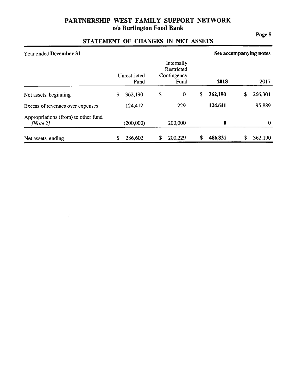### Page 5

# STATEMENT OF CHANGES IN NET ASSETS

| Year ended December 31                             |                      |                                                 | See accompanying notes |               |
|----------------------------------------------------|----------------------|-------------------------------------------------|------------------------|---------------|
|                                                    | Unrestricted<br>Fund | Internally<br>Restricted<br>Contingency<br>Fund | 2018                   | 2017          |
| Net assets, beginning                              | \$<br>362,190        | \$<br>$\bf{0}$                                  | \$<br>362,190          | \$<br>266,301 |
| Excess of revenues over expenses                   | 124,412              | 229                                             | 124,641                | 95,889        |
| Appropriations (from) to other fund<br>[Note $2$ ] | (200,000)            | 200,000                                         | $\bf{0}$               | $\bf{0}$      |
| Net assets, ending                                 | \$<br>286,602        | \$<br>200,229                                   | \$<br>486,831          | \$<br>362,190 |

 $\tilde{\mathcal{L}}$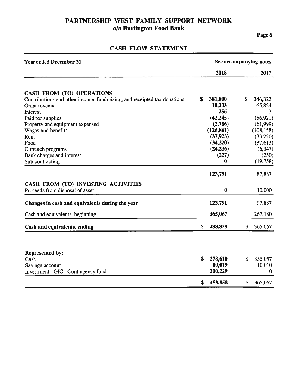### Page 6

| Year ended December 31                                                   | See accompanying notes |            |    |                  |  |
|--------------------------------------------------------------------------|------------------------|------------|----|------------------|--|
|                                                                          |                        | 2018       |    | 2017             |  |
| <b>CASH FROM (TO) OPERATIONS</b>                                         |                        |            |    |                  |  |
| Contributions and other income, fundraising, and receipted tax donations | \$                     | 381,800    | \$ | 346,322          |  |
| Grant revenue                                                            |                        | 10,233     |    | 65,824           |  |
| Interest                                                                 |                        | 256        |    | 7                |  |
| Paid for supplies                                                        |                        | (42, 245)  |    | (56, 921)        |  |
| Property and equipment expensed                                          |                        | (2,786)    |    | (61, 999)        |  |
| Wages and benefits                                                       |                        | (126, 861) |    | (108, 158)       |  |
| Rent                                                                     |                        | (37, 923)  |    | (33, 220)        |  |
| Food                                                                     |                        | (34,220)   |    | (37, 613)        |  |
| Outreach programs                                                        |                        | (24, 236)  |    | (6, 347)         |  |
| Bank charges and interest                                                |                        | (227)      |    | (250)            |  |
| Sub-contracting                                                          |                        | 0          |    | (19, 758)        |  |
|                                                                          |                        | 123,791    |    | 87,887           |  |
| CASH FROM (TO) INVESTING ACTIVITIES                                      |                        |            |    |                  |  |
| Proceeds from disposal of asset                                          |                        | $\bf{0}$   |    | 10,000           |  |
| Changes in cash and equivalents during the year                          |                        | 123,791    |    | 97,887           |  |
| Cash and equivalents, beginning                                          |                        | 365,067    |    | 267,180          |  |
| Cash and equivalents, ending                                             | \$                     | 488,858    | \$ | 365,067          |  |
|                                                                          |                        |            |    |                  |  |
| <b>Represented by:</b>                                                   |                        |            |    |                  |  |
| Cash                                                                     | \$                     | 278,610    | \$ | 355,057          |  |
| Savings account                                                          |                        | 10,019     |    | 10,010           |  |
| Investment - GIC - Contingency fund                                      |                        | 200,229    |    | $\boldsymbol{0}$ |  |
|                                                                          | \$                     | 488,858    | \$ | 365,067          |  |

# CASH FLOW STATEMENT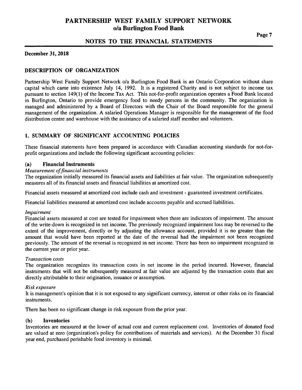### NOTES TO THE FINANCIAL STATEMENTS

#### **December 31, 2018**

#### **DESCRIPTION OF ORGANIZATION**

Partnership West Family Support Network o/a Burlington Food Bank is an Ontario Corporation without share capital which came into existence July 14, 1992. It is a registered Charity and is not subject to income tax pursuant to section 149(1) of the Income Tax Act. This not-for-profit organization operates a Food Bank located in Burlington, Ontario to provide emergency food to needy persons in the community. The organization is managed and administered by a Board of Directors with the Chair of the Board responsible for the general management of the organization. A salaried Operations Manager is responsible for the management of the food distribution centre and warehouse with the assistance of a salaried staff member and volunteers.

#### 1. SUMMARY OF SIGNIFICANT ACCOUNTING POLICIES

These financial statements have been prepared in accordance with Canadian accounting standards for not-forprofit organizations and include the following significant accounting policies:

#### $(a)$ **Financial Instruments**

#### **Measurement of financial instruments**

The organization initially measured its financial assets and liabilities at fair value. The organization subsequently measures all of its financial assets and financial liabilities at amortized cost.

Financial assets measured at amortized cost include cash and investment - guaranteed investment certificates.

Financial liabilities measured at amortized cost include accounts payable and accrued liabilities.

#### Impairment

Financial assets measured at cost are tested for impairment when there are indicators of impairment. The amount of the write-down is recognized in net income. The previously recognized impairment loss may be reversed to the extent of the improvement, directly or by adjusting the allowance account, provided it is no greater than the amount that would have been reported at the date of the reversal had the impairment not been recognized previously. The amount of the reversal is recognized in net income. There has been no impairment recognized in the current year or prior year.

#### **Transaction costs**

The organization recognizes its transaction costs in net income in the period incurred. However, financial instruments that will not be subsequently measured at fair value are adjusted by the transaction costs that are directly attributable to their origination, issuance or assumption.

#### Risk exposure

It is management's opinion that it is not exposed to any significant currency, interest or other risks on its financial instruments.

There has been no significant change in risk exposure from the prior year.

#### $(b)$ **Inventories**

Inventories are measured at the lower of actual cost and current replacement cost. Inventories of donated food are valued at zero (organization's policy for contributions of materials and services). At the December 31 fiscal year end, purchased perishable food inventory is minimal.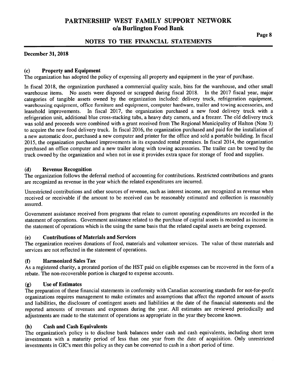### NOTES TO THE FINANCIAL STATEMENTS

#### December 31, 2018

#### **Property and Equipment**  $(c)$

The organization has adopted the policy of expensing all property and equipment in the year of purchase.

In fiscal 2018, the organization purchased a commercial quality scale, bins for the warehouse, and other small warehouse items. No assets were disposed or scrapped during fiscal 2018. In the 2017 fiscal year, major categories of tangible assets owned by the organization included: delivery truck, refrigeration equipment, warehousing equipment, office furniture and equipment, computer hardware, trailer and towing accessories, and leasehold improvements. In fiscal 2017, the organization purchased a new food delivery truck with a refrigeration unit, additional blue cross-stacking tubs, a heavy duty camera, and a freezer. The old delivery truck was sold and proceeds were combined with a grant received from The Regional Municipality of Halton (Note 3) to acquire the new food delivery truck. In fiscal 2016, the organization purchased and paid for the installation of a new automatic door, purchased a new computer and printer for the office and sold a portable building. In fiscal 2015, the organization purchased improvements in its expanded rental premises. In fiscal 2014, the organization purchased an office computer and a new trailer along with towing accessories. The trailer can be towed by the truck owned by the organization and when not in use it provides extra space for storage of food and supplies.

#### **Revenue Recognition**  $(d)$

The organization follows the deferral method of accounting for contributions. Restricted contributions and grants are recognized as revenue in the year which the related expenditures are incurred.

Unrestricted contributions and other sources of revenue, such as interest income, are recognized as revenue when received or receivable if the amount to be received can be reasonably estimated and collection is reasonably assured.

Government assistance received from programs that relate to current operating expenditures are recorded in the statement of operations. Government assistance related to the purchase of capital assets is recorded as income in the statement of operations which is the using the same basis that the related capital assets are being expensed.

#### **Contributions of Materials and Services**  $(e)$

The organization receives donations of food, materials and volunteer services. The value of these materials and services are not reflected in the statement of operations.

#### $(f)$ **Harmonized Sales Tax**

As a registered charity, a prorated portion of the HST paid on eligible expenses can be recovered in the form of a rebate. The non-recoverable portion is charged to expense accounts.

#### **Use of Estimates**  $(g)$

The preparation of these financial statements in conformity with Canadian accounting standards for not-for-profit organizations requires management to make estimates and assumptions that affect the reported amount of assets and liabilities, the disclosure of contingent assets and liabilities at the date of the financial statements and the reported amounts of revenues and expenses during the year. All estimates are reviewed periodically and adjustments are made to the statement of operations as appropriate in the year they become known.

#### $(h)$ **Cash and Cash Equivalents**

The organization's policy is to disclose bank balances under cash and cash equivalents, including short term investments with a maturity period of less than one year from the date of acquisition. Only unrestricted investments in GIC's meet this policy as they can be converted to cash in a short period of time.